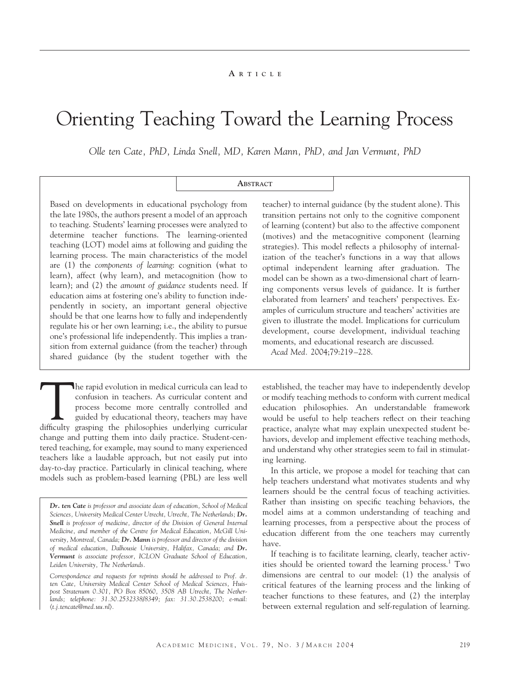### **A RTICLE**

# Orienting Teaching Toward the Learning Process

*Olle ten Cate, PhD, Linda Snell, MD, Karen Mann, PhD, and Jan Vermunt, PhD*

#### **ABSTRACT**

Based on developments in educational psychology from the late 1980s, the authors present a model of an approach to teaching. Students' learning processes were analyzed to determine teacher functions. The learning-oriented teaching (LOT) model aims at following and guiding the learning process. The main characteristics of the model are (1) the *components of learning*: cognition (what to learn), affect (why learn), and metacognition (how to learn); and (2) the *amount of guidance* students need. If education aims at fostering one's ability to function independently in society, an important general objective should be that one learns how to fully and independently regulate his or her own learning; i.e., the ability to pursue one's professional life independently. This implies a transition from external guidance (from the teacher) through shared guidance (by the student together with the

The rapid evolution in medical curricula can lead to confusion in teachers. As curricular content and process become more centrally controlled and guided by educational theory, teachers may have difficulty grasping the phi confusion in teachers. As curricular content and process become more centrally controlled and guided by educational theory, teachers may have change and putting them into daily practice. Student-centered teaching, for example, may sound to many experienced teachers like a laudable approach, but not easily put into day-to-day practice. Particularly in clinical teaching, where models such as problem-based learning (PBL) are less well teacher) to internal guidance (by the student alone). This transition pertains not only to the cognitive component of learning (content) but also to the affective component (motives) and the metacognitive component (learning strategies). This model reflects a philosophy of internalization of the teacher's functions in a way that allows optimal independent learning after graduation. The model can be shown as a two-dimensional chart of learning components versus levels of guidance. It is further elaborated from learners' and teachers' perspectives. Examples of curriculum structure and teachers' activities are given to illustrate the model. Implications for curriculum development, course development, individual teaching moments, and educational research are discussed.

*Acad Med.* 2004;79:219–228.

established, the teacher may have to independently develop or modify teaching methods to conform with current medical education philosophies. An understandable framework would be useful to help teachers reflect on their teaching practice, analyze what may explain unexpected student behaviors, develop and implement effective teaching methods, and understand why other strategies seem to fail in stimulating learning.

In this article, we propose a model for teaching that can help teachers understand what motivates students and why learners should be the central focus of teaching activities. Rather than insisting on specific teaching behaviors, the model aims at a common understanding of teaching and learning processes, from a perspective about the process of education different from the one teachers may currently have.

If teaching is to facilitate learning, clearly, teacher activities should be oriented toward the learning process.<sup>1</sup> Two dimensions are central to our model: (1) the analysis of critical features of the learning process and the linking of teacher functions to these features, and (2) the interplay between external regulation and self-regulation of learning.

*Dr. ten Cate is professor and associate dean of education, School of Medical Sciences, University Medical Center Utrecht, Utrecht, The Netherlands; Dr. Snell is professor of medicine, director of the Division of General Internal Medicine, and member of the Centre for Medical Education, McGill University, Montreal, Canada; Dr. Mann is professor and director of the division of medical education, Dalhousie University, Halifax, Canada; and Dr. Vermunt is associate professor, ICLON Graduate School of Education, Leiden University, The Netherlands.*

*Correspondence and requests for reprints should be addressed to Prof. dr. ten Cate, University Medical Center School of Medical Sciences, Huispost Stratenum 0.301, PO Box 85060, 3508 AB Utrecht, The Netherlands; telephone: 31.30.2532338/8349; fax: 31.30.2538200; e-mail: t.j.tencate@med.uu.nl*-*.*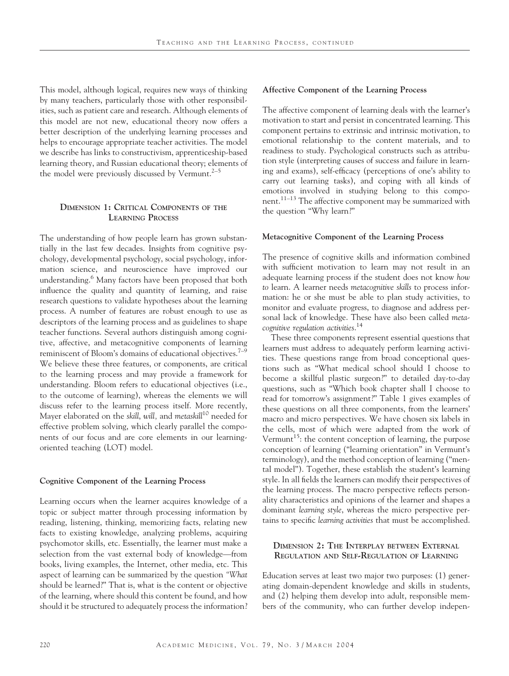This model, although logical, requires new ways of thinking by many teachers, particularly those with other responsibilities, such as patient care and research. Although elements of this model are not new, educational theory now offers a better description of the underlying learning processes and helps to encourage appropriate teacher activities. The model we describe has links to constructivism, apprenticeship-based learning theory, and Russian educational theory; elements of the model were previously discussed by Vermunt. $2-5$ 

# **DIMENSION 1: CRITICAL COMPONENTS OF THE LEARNING PROCESS**

The understanding of how people learn has grown substantially in the last few decades. Insights from cognitive psychology, developmental psychology, social psychology, information science, and neuroscience have improved our understanding.<sup>6</sup> Many factors have been proposed that both influence the quality and quantity of learning, and raise research questions to validate hypotheses about the learning process. A number of features are robust enough to use as descriptors of the learning process and as guidelines to shape teacher functions. Several authors distinguish among cognitive, affective, and metacognitive components of learning reminiscent of Bloom's domains of educational objectives.<sup>7–9</sup> We believe these three features, or components, are critical to the learning process and may provide a framework for understanding. Bloom refers to educational objectives (i.e., to the outcome of learning), whereas the elements we will discuss refer to the learning process itself. More recently, Mayer elaborated on the *skill*, *will,* and *metaskill*<sup>10</sup> needed for effective problem solving, which clearly parallel the components of our focus and are core elements in our learningoriented teaching (LOT) model.

#### **Cognitive Component of the Learning Process**

Learning occurs when the learner acquires knowledge of a topic or subject matter through processing information by reading, listening, thinking, memorizing facts, relating new facts to existing knowledge, analyzing problems, acquiring psychomotor skills, etc. Essentially, the learner must make a selection from the vast external body of knowledge—from books, living examples, the Internet, other media, etc. This aspect of learning can be summarized by the question *"What* should be learned?" That is, what is the content or objective of the learning, where should this content be found, and how should it be structured to adequately process the information?

#### **Affective Component of the Learning Process**

The affective component of learning deals with the learner's motivation to start and persist in concentrated learning. This component pertains to extrinsic and intrinsic motivation, to emotional relationship to the content materials, and to readiness to study. Psychological constructs such as attribution style (interpreting causes of success and failure in learning and exams), self-efficacy (perceptions of one's ability to carry out learning tasks), and coping with all kinds of emotions involved in studying belong to this component.<sup>11–13</sup> The affective component may be summarized with the question "Why learn?"

#### **Metacognitive Component of the Learning Process**

The presence of cognitive skills and information combined with sufficient motivation to learn may not result in an adequate learning process if the student does not know *how to* learn. A learner needs *metacognitive skills* to process information: he or she must be able to plan study activities, to monitor and evaluate progress, to diagnose and address personal lack of knowledge. These have also been called *metacognitive regulation activities*. 14

These three components represent essential questions that learners must address to adequately perform learning activities. These questions range from broad conceptional questions such as "What medical school should I choose to become a skillful plastic surgeon?" to detailed day-to-day questions, such as "Which book chapter shall I choose to read for tomorrow's assignment?" Table 1 gives examples of these questions on all three components, from the learners' macro and micro perspectives. We have chosen six labels in the cells, most of which were adapted from the work of Vermunt<sup>15</sup>: the content conception of learning, the purpose conception of learning ("learning orientation" in Vermunt's terminology), and the method conception of learning ("mental model"). Together, these establish the student's learning style. In all fields the learners can modify their perspectives of the learning process. The macro perspective reflects personality characteristics and opinions of the learner and shapes a dominant *learning style*, whereas the micro perspective pertains to specific *learning activities* that must be accomplished.

# **DIMENSION 2: THE INTERPLAY BETWEEN EXTERNAL REGULATION AND SELF-REGULATION OF LEARNING**

Education serves at least two major two purposes: (1) generating domain-dependent knowledge and skills in students, and (2) helping them develop into adult, responsible members of the community, who can further develop indepen-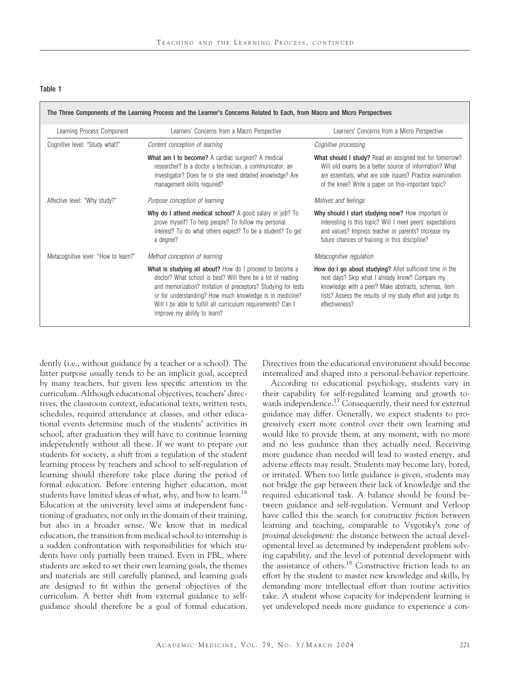#### Table 1

| The Three Components of the Learning Process and the Learner's Concerns Related to Each, from Macro and Micro Perspectives |                                                                                                                                                                                                                                                                                                                                                      |                                                                                                                                                                                                                                                     |  |  |  |
|----------------------------------------------------------------------------------------------------------------------------|------------------------------------------------------------------------------------------------------------------------------------------------------------------------------------------------------------------------------------------------------------------------------------------------------------------------------------------------------|-----------------------------------------------------------------------------------------------------------------------------------------------------------------------------------------------------------------------------------------------------|--|--|--|
| Learning Process Component                                                                                                 | Learners' Concerns from a Macro Perspective                                                                                                                                                                                                                                                                                                          | Learners' Concerns from a Micro Perspective                                                                                                                                                                                                         |  |  |  |
| Cognitive level: "Study what?"                                                                                             | Content conception of learning                                                                                                                                                                                                                                                                                                                       | Cognitive processing                                                                                                                                                                                                                                |  |  |  |
|                                                                                                                            | What am I to become? A cardiac surgeon? A medical<br>researcher? Is a doctor a technician, a communicator, an<br>investigator? Does he or she need detailed knowledge? Are<br>management skills required?                                                                                                                                            | What should I study? Read an assigned text for tomorrow?<br>Will old exams be a better source of information? What<br>are essentials; what are side issues? Practice examination<br>of the knee? Write a paper on this-important topic?             |  |  |  |
| Affective level: "Why study?"                                                                                              | Purpose conception of learning                                                                                                                                                                                                                                                                                                                       | Motives and feelings                                                                                                                                                                                                                                |  |  |  |
|                                                                                                                            | Why do I attend medical school? A good salary or job? To<br>prove myself? To help people? To follow my personal<br>interest? To do what others expect? To be a student? To get<br>a degree?                                                                                                                                                          | Why should I start studying now? How important or<br>interesting is this topic? Will I meet peers' expectations<br>and values? Impress teacher or parents? Increase my<br>future chances of training in this discipline?                            |  |  |  |
| Metacognitive level: "How to learn?"                                                                                       | Method conception of learning                                                                                                                                                                                                                                                                                                                        | Metacognitive regulation                                                                                                                                                                                                                            |  |  |  |
|                                                                                                                            | What is studying all about? How do I proceed to become a<br>doctor? What school is best? Will there be a lot of reading<br>and memorization? Imitation of preceptors? Studying for tests<br>or for understanding? How much knowledge is in medicine?<br>Will I be able to fulfill all curriculum requirements? Can I<br>improve my ability to learn? | How do I go about studying? Allot sufficient time in the<br>next days? Skip what I already know? Compare my<br>knowledge with a peer? Make abstracts, schemas, item<br>lists? Assess the results of my study effort and judge its<br>effectiveness? |  |  |  |

dently (i.e., without guidance by a teacher or a school). The latter purpose usually tends to be an implicit goal, accepted by many teachers, but given less specific attention in the curriculum. Although educational objectives, teachers' directives, the classroom context, educational texts, written tests, schedules, required attendance at classes, and other educational events determine much of the students' activities in school, after graduation they will have to continue learning independently without all these. If we want to prepare our students for society, a shift from a regulation of the student learning process by teachers and school to self-regulation of learning should therefore take place during the period of formal education. Before entering higher education, most students have limited ideas of what, why, and how to learn.<sup>16</sup> Education at the university level aims at independent functioning of graduates, not only in the domain of their training, but also in a broader sense. We know that in medical education, the transition from medical school to internship is a sudden confrontation with responsibilities for which students have only partially been trained. Even in PBL, where students are asked to set their own learning goals, the themes and materials are still carefully planned, and learning goals are designed to fit within the general objectives of the curriculum. A better shift from external guidance to selfguidance should therefore be a goal of formal education. Directives from the educational environment should become internalized and shaped into a personal-behavior repertoire.

According to educational psychology, students vary in their capability for self-regulated learning and growth towards independence.<sup>17</sup> Consequently, their need for external guidance may differ. Generally, we expect students to progressively exert more control over their own learning and would like to provide them, at any moment, with no more and no less guidance than they actually need. Receiving more guidance than needed will lead to wasted energy, and adverse effects may result. Students may become lazy, bored, or irritated. When too little guidance is given, students may not bridge the gap between their lack of knowledge and the required educational task. A balance should be found between guidance and self-regulation. Vermunt and Verloop have called this the search for *constructive friction* between learning and teaching, comparable to Vygotsky's *zone of proximal development*: the distance between the actual developmental level as determined by independent problem solving capability, and the level of potential development with the assistance of others.<sup>18</sup> Constructive friction leads to an effort by the student to master new knowledge and skills, by demanding more intellectual effort than routine activities take. A student whose capacity for independent learning is yet undeveloped needs more guidance to experience a con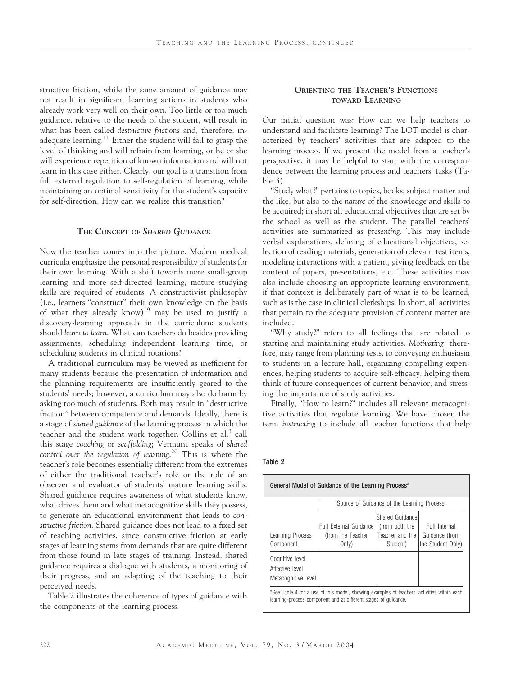structive friction, while the same amount of guidance may not result in significant learning actions in students who already work very well on their own. Too little or too much guidance, relative to the needs of the student, will result in what has been called *destructive frictions* and, therefore, inadequate learning.<sup>11</sup> Either the student will fail to grasp the level of thinking and will refrain from learning, or he or she will experience repetition of known information and will not learn in this case either. Clearly, our goal is a transition from full external regulation to self-regulation of learning, while maintaining an optimal sensitivity for the student's capacity for self-direction. How can we realize this transition?

#### **THE CONCEPT OF** *SHARED GUIDANCE*

Now the teacher comes into the picture. Modern medical curricula emphasize the personal responsibility of students for their own learning. With a shift towards more small-group learning and more self-directed learning, mature studying skills are required of students. A constructivist philosophy (i.e., learners "construct" their own knowledge on the basis of what they already know) $19$  may be used to justify a discovery-learning approach in the curriculum: students should *learn to learn*. What can teachers do besides providing assignments, scheduling independent learning time, or scheduling students in clinical rotations?

A traditional curriculum may be viewed as inefficient for many students because the presentation of information and the planning requirements are insufficiently geared to the students' needs; however, a curriculum may also do harm by asking too much of students. Both may result in "destructive friction" between competence and demands. Ideally, there is a stage of *shared guidance* of the learning process in which the teacher and the student work together. Collins et al. $3$  call this stage *coaching* or *scaffolding*; Vermunt speaks of s*hared control over the regulation of learning*. <sup>20</sup> This is where the teacher's role becomes essentially different from the extremes of either the traditional teacher's role or the role of an observer and evaluator of students' mature learning skills. Shared guidance requires awareness of what students know, what drives them and what metacognitive skills they possess, to generate an educational environment that leads to *constructive friction*. Shared guidance does not lead to a fixed set of teaching activities, since constructive friction at early stages of learning stems from demands that are quite different from those found in late stages of training. Instead, shared guidance requires a dialogue with students, a monitoring of their progress, and an adapting of the teaching to their perceived needs.

Table 2 illustrates the coherence of types of guidance with the components of the learning process.

# **ORIENTING THE TEACHER'S FUNCTIONS TOWARD LEARNING**

Our initial question was: How can we help teachers to understand and facilitate learning? The LOT model is characterized by teachers' activities that are adapted to the learning process. If we present the model from a teacher's perspective, it may be helpful to start with the correspondence between the learning process and teachers' tasks (Table 3).

"Study what?" pertains to topics, books, subject matter and the like, but also to the *nature* of the knowledge and skills to be acquired; in short all educational objectives that are set by the school as well as the student. The parallel teachers' activities are summarized as *presenting*. This may include verbal explanations, defining of educational objectives, selection of reading materials, generation of relevant test items, modeling interactions with a patient, giving feedback on the content of papers, presentations, etc. These activities may also include choosing an appropriate learning environment, if that context is deliberately part of what is to be learned, such as is the case in clinical clerkships. In short, all activities that pertain to the adequate provision of content matter are included.

"Why study?" refers to all feelings that are related to starting and maintaining study activities. *Motivating,* therefore, may range from planning tests, to conveying enthusiasm to students in a lecture hall, organizing compelling experiences, helping students to acquire self-efficacy, helping them think of future consequences of current behavior, and stressing the importance of study activities.

Finally, "How to learn?" includes all relevant metacognitive activities that regulate learning. We have chosen the term *instructing* to include all teacher functions that help

#### Table 2

| General Model of Guidance of the Learning Process*                                                                                                            |                                                      |                                                                  |                                                      |  |  |  |
|---------------------------------------------------------------------------------------------------------------------------------------------------------------|------------------------------------------------------|------------------------------------------------------------------|------------------------------------------------------|--|--|--|
|                                                                                                                                                               | Source of Guidance of the Learning Process           |                                                                  |                                                      |  |  |  |
| Learning Process<br>Component                                                                                                                                 | Full External Guidance<br>(from the Teacher<br>Only) | Shared Guidance<br>(from both the<br>Teacher and the<br>Student) | Full Internal<br>Guidance (from<br>the Student Only) |  |  |  |
| Cognitive level<br>Affective level<br>Metacognitive level                                                                                                     |                                                      |                                                                  |                                                      |  |  |  |
| *See Table 4 for a use of this model, showing examples of teachers' activities within each<br>learning-process component and at different stages of quidance. |                                                      |                                                                  |                                                      |  |  |  |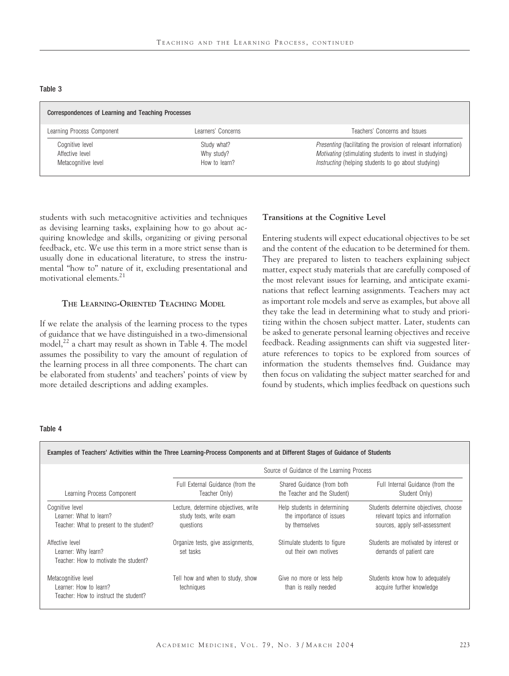#### Table 3

| Correspondences of Learning and Teaching Processes        |                                            |                                                                                                                                                                                          |  |  |  |
|-----------------------------------------------------------|--------------------------------------------|------------------------------------------------------------------------------------------------------------------------------------------------------------------------------------------|--|--|--|
| Learning Process Component                                | Learners' Concerns                         | Teachers' Concerns and Issues                                                                                                                                                            |  |  |  |
| Cognitive level<br>Affective level<br>Metacognitive level | Study what?<br>Why study?<br>How to learn? | Presenting (facilitating the provision of relevant information)<br>Motivating (stimulating students to invest in studying)<br><i>Instructing</i> (helping students to go about studying) |  |  |  |

students with such metacognitive activities and techniques as devising learning tasks, explaining how to go about acquiring knowledge and skills, organizing or giving personal feedback, etc. We use this term in a more strict sense than is usually done in educational literature, to stress the instrumental "how to" nature of it, excluding presentational and motivational elements.21

## **THE LEARNING-ORIENTED TEACHING MODEL**

If we relate the analysis of the learning process to the types of guidance that we have distinguished in a two-dimensional model, $^{22}$  a chart may result as shown in Table 4. The model assumes the possibility to vary the amount of regulation of the learning process in all three components. The chart can be elaborated from students' and teachers' points of view by more detailed descriptions and adding examples.

## **Transitions at the Cognitive Level**

Entering students will expect educational objectives to be set and the content of the education to be determined for them. They are prepared to listen to teachers explaining subject matter, expect study materials that are carefully composed of the most relevant issues for learning, and anticipate examinations that reflect learning assignments. Teachers may act as important role models and serve as examples, but above all they take the lead in determining what to study and prioritizing within the chosen subject matter. Later, students can be asked to generate personal learning objectives and receive feedback. Reading assignments can shift via suggested literature references to topics to be explored from sources of information the students themselves find. Guidance may then focus on validating the subject matter searched for and found by students, which implies feedback on questions such

#### Table 4

Examples of Teachers' Activities within the Three Learning-Process Components and at Different Stages of Guidance of Students

|                                                                                        | Source of Guidance of the Learning Process                                   |                                                                           |                                                                                                            |
|----------------------------------------------------------------------------------------|------------------------------------------------------------------------------|---------------------------------------------------------------------------|------------------------------------------------------------------------------------------------------------|
| Learning Process Component                                                             | Full External Guidance (from the<br>Teacher Only)                            | Shared Guidance (from both<br>the Teacher and the Student)                | Full Internal Guidance (from the<br>Student Only)                                                          |
| Cognitive level<br>Learner: What to learn?<br>Teacher: What to present to the student? | Lecture, determine objectives, write<br>study texts, write exam<br>questions | Help students in determining<br>the importance of issues<br>by themselves | Students determine objectives, choose<br>relevant topics and information<br>sources, apply self-assessment |
| Affective level<br>Learner: Why learn?<br>Teacher: How to motivate the student?        | Organize tests, give assignments,<br>set tasks                               | Stimulate students to figure<br>out their own motives                     | Students are motivated by interest or<br>demands of patient care                                           |
| Metacognitive level<br>Learner: How to learn?<br>Teacher: How to instruct the student? | Tell how and when to study, show<br>techniques                               | Give no more or less help<br>than is really needed                        | Students know how to adequately<br>acquire further knowledge                                               |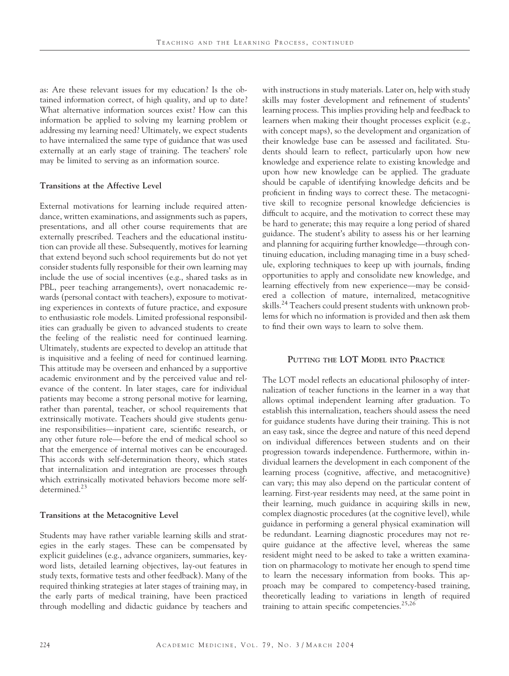as: Are these relevant issues for my education? Is the obtained information correct, of high quality, and up to date? What alternative information sources exist? How can this information be applied to solving my learning problem or addressing my learning need? Ultimately, we expect students to have internalized the same type of guidance that was used externally at an early stage of training. The teachers' role may be limited to serving as an information source.

## **Transitions at the Affective Level**

External motivations for learning include required attendance, written examinations, and assignments such as papers, presentations, and all other course requirements that are externally prescribed. Teachers and the educational institution can provide all these. Subsequently, motives for learning that extend beyond such school requirements but do not yet consider students fully responsible for their own learning may include the use of social incentives (e.g., shared tasks as in PBL, peer teaching arrangements), overt nonacademic rewards (personal contact with teachers), exposure to motivating experiences in contexts of future practice, and exposure to enthusiastic role models. Limited professional responsibilities can gradually be given to advanced students to create the feeling of the realistic need for continued learning. Ultimately, students are expected to develop an attitude that is inquisitive and a feeling of need for continued learning. This attitude may be overseen and enhanced by a supportive academic environment and by the perceived value and relevance of the content. In later stages, care for individual patients may become a strong personal motive for learning, rather than parental, teacher, or school requirements that extrinsically motivate. Teachers should give students genuine responsibilities—inpatient care, scientific research, or any other future role—before the end of medical school so that the emergence of internal motives can be encouraged. This accords with self-determination theory, which states that internalization and integration are processes through which extrinsically motivated behaviors become more selfdetermined.<sup>23</sup>

### **Transitions at the Metacognitive Level**

Students may have rather variable learning skills and strategies in the early stages. These can be compensated by explicit guidelines (e.g., advance organizers, summaries, keyword lists, detailed learning objectives, lay-out features in study texts, formative tests and other feedback). Many of the required thinking strategies at later stages of training may, in the early parts of medical training, have been practiced through modelling and didactic guidance by teachers and

with instructions in study materials. Later on, help with study skills may foster development and refinement of students' learning process. This implies providing help and feedback to learners when making their thought processes explicit (e.g., with concept maps), so the development and organization of their knowledge base can be assessed and facilitated. Students should learn to reflect, particularly upon how new knowledge and experience relate to existing knowledge and upon how new knowledge can be applied. The graduate should be capable of identifying knowledge deficits and be proficient in finding ways to correct these. The metacognitive skill to recognize personal knowledge deficiencies is difficult to acquire, and the motivation to correct these may be hard to generate; this may require a long period of shared guidance. The student's ability to assess his or her learning and planning for acquiring further knowledge—through continuing education, including managing time in a busy schedule, exploring techniques to keep up with journals, finding opportunities to apply and consolidate new knowledge, and learning effectively from new experience—may be considered a collection of mature, internalized, metacognitive skills.<sup>24</sup> Teachers could present students with unknown problems for which no information is provided and then ask them to find their own ways to learn to solve them.

## **PUTTING THE LOT MODEL INTO PRACTICE**

The LOT model reflects an educational philosophy of internalization of teacher functions in the learner in a way that allows optimal independent learning after graduation. To establish this internalization, teachers should assess the need for guidance students have during their training. This is not an easy task, since the degree and nature of this need depend on individual differences between students and on their progression towards independence. Furthermore, within individual learners the development in each component of the learning process (cognitive, affective, and metacognitive) can vary; this may also depend on the particular content of learning. First-year residents may need, at the same point in their learning, much guidance in acquiring skills in new, complex diagnostic procedures (at the cognitive level), while guidance in performing a general physical examination will be redundant. Learning diagnostic procedures may not require guidance at the affective level, whereas the same resident might need to be asked to take a written examination on pharmacology to motivate her enough to spend time to learn the necessary information from books. This approach may be compared to competency-based training, theoretically leading to variations in length of required training to attain specific competencies. $25,26$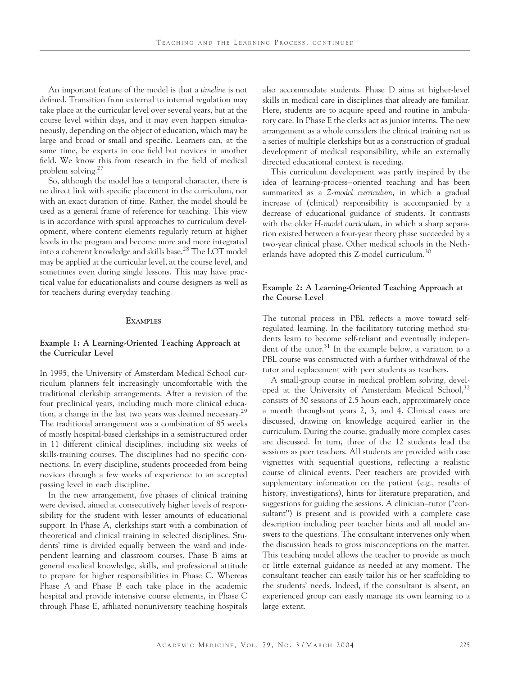An important feature of the model is that a *timeline* is not defined. Transition from external to internal regulation may take place at the curricular level over several years, but at the course level within days, and it may even happen simultaneously, depending on the object of education, which may be large and broad or small and specific. Learners can, at the same time, be experts in one field but novices in another field. We know this from research in the field of medical problem solving.27

So, although the model has a temporal character, there is no direct link with specific placement in the curriculum, nor with an exact duration of time. Rather, the model should be used as a general frame of reference for teaching. This view is in accordance with spiral approaches to curriculum development, where content elements regularly return at higher levels in the program and become more and more integrated into a coherent knowledge and skills base.<sup>28</sup> The LOT model may be applied at the curricular level, at the course level, and sometimes even during single lessons. This may have practical value for educationalists and course designers as well as for teachers during everyday teaching.

### **EXAMPLES**

## **Example 1: A Learning-Oriented Teaching Approach at the Curricular Level**

In 1995, the University of Amsterdam Medical School curriculum planners felt increasingly uncomfortable with the traditional clerkship arrangements. After a revision of the four preclinical years, including much more clinical education, a change in the last two years was deemed necessary.29 The traditional arrangement was a combination of 85 weeks of mostly hospital-based clerkships in a semistructured order in 11 different clinical disciplines, including six weeks of skills-training courses. The disciplines had no specific connections. In every discipline, students proceeded from being novices through a few weeks of experience to an accepted passing level in each discipline.

In the new arrangement, five phases of clinical training were devised, aimed at consecutively higher levels of responsibility for the student with lesser amounts of educational support. In Phase A, clerkships start with a combination of theoretical and clinical training in selected disciplines. Students' time is divided equally between the ward and independent learning and classroom courses. Phase B aims at general medical knowledge, skills, and professional attitude to prepare for higher responsibilities in Phase C. Whereas Phase A and Phase B each take place in the academic hospital and provide intensive course elements, in Phase C through Phase E, affiliated nonuniversity teaching hospitals also accommodate students. Phase D aims at higher-level skills in medical care in disciplines that already are familiar. Here, students are to acquire speed and routine in ambulatory care. In Phase E the clerks act as junior interns. The new arrangement as a whole considers the clinical training not as a series of multiple clerkships but as a construction of gradual development of medical responsibility, while an externally directed educational context is receding.

This curriculum development was partly inspired by the idea of learning-process–oriented teaching and has been summarized as a *Z-model curriculum*, in which a gradual increase of (clinical) responsibility is accompanied by a decrease of educational guidance of students. It contrasts with the older *H-model curriculum,* in which a sharp separation existed between a four-year theory phase succeeded by a two-year clinical phase. Other medical schools in the Netherlands have adopted this Z-model curriculum.<sup>30</sup>

# **Example 2: A Learning-Oriented Teaching Approach at the Course Level**

The tutorial process in PBL reflects a move toward selfregulated learning. In the facilitatory tutoring method students learn to become self-reliant and eventually independent of the tutor. $31$  In the example below, a variation to a PBL course was constructed with a further withdrawal of the tutor and replacement with peer students as teachers.

A small-group course in medical problem solving, developed at the University of Amsterdam Medical School,<sup>32</sup> consists of 30 sessions of 2.5 hours each, approximately once a month throughout years 2, 3, and 4. Clinical cases are discussed, drawing on knowledge acquired earlier in the curriculum. During the course, gradually more complex cases are discussed. In turn, three of the 12 students lead the sessions as peer teachers. All students are provided with case vignettes with sequential questions, reflecting a realistic course of clinical events. Peer teachers are provided with supplementary information on the patient (e.g., results of history, investigations), hints for literature preparation, and suggestions for guiding the sessions. A clinician–tutor ("consultant") is present and is provided with a complete case description including peer teacher hints and all model answers to the questions. The consultant intervenes only when the discussion heads to gross misconceptions on the matter. This teaching model allows the teacher to provide as much or little external guidance as needed at any moment. The consultant teacher can easily tailor his or her scaffolding to the students' needs. Indeed, if the consultant is absent, an experienced group can easily manage its own learning to a large extent.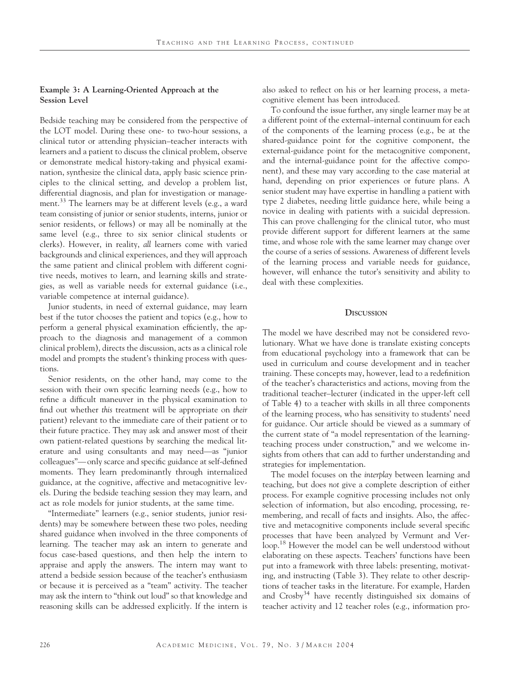## **Example 3: A Learning-Oriented Approach at the Session Level**

Bedside teaching may be considered from the perspective of the LOT model. During these one- to two-hour sessions, a clinical tutor or attending physician–teacher interacts with learners and a patient to discuss the clinical problem, observe or demonstrate medical history-taking and physical examination, synthesize the clinical data, apply basic science principles to the clinical setting, and develop a problem list, differential diagnosis, and plan for investigation or management.<sup>33</sup> The learners may be at different levels (e.g., a ward team consisting of junior or senior students, interns, junior or senior residents, or fellows) or may all be nominally at the same level (e.g., three to six senior clinical students or clerks). However, in reality, *all* learners come with varied backgrounds and clinical experiences, and they will approach the same patient and clinical problem with different cognitive needs, motives to learn, and learning skills and strategies, as well as variable needs for external guidance (i.e., variable competence at internal guidance).

Junior students, in need of external guidance, may learn best if the tutor chooses the patient and topics (e.g., how to perform a general physical examination efficiently, the approach to the diagnosis and management of a common clinical problem), directs the discussion, acts as a clinical role model and prompts the student's thinking process with questions.

Senior residents, on the other hand, may come to the session with their own specific learning needs (e.g., how to refine a difficult maneuver in the physical examination to find out whether *this* treatment will be appropriate on *their* patient) relevant to the immediate care of their patient or to their future practice. They may ask and answer most of their own patient-related questions by searching the medical literature and using consultants and may need—as "junior colleagues"—only scarce and specific guidance at self-defined moments. They learn predominantly through internalized guidance, at the cognitive, affective and metacognitive levels. During the bedside teaching session they may learn, and act as role models for junior students, at the same time.

"Intermediate" learners (e.g., senior students, junior residents) may be somewhere between these two poles, needing shared guidance when involved in the three components of learning. The teacher may ask an intern to generate and focus case-based questions, and then help the intern to appraise and apply the answers. The intern may want to attend a bedside session because of the teacher's enthusiasm or because it is perceived as a "team" activity. The teacher may ask the intern to "think out loud" so that knowledge and reasoning skills can be addressed explicitly. If the intern is also asked to reflect on his or her learning process, a metacognitive element has been introduced.

To confound the issue further, any single learner may be at a different point of the external–internal continuum for each of the components of the learning process (e.g., be at the shared-guidance point for the cognitive component, the external-guidance point for the metacognitive component, and the internal-guidance point for the affective component), and these may vary according to the case material at hand, depending on prior experiences or future plans. A senior student may have expertise in handling a patient with type 2 diabetes, needing little guidance here, while being a novice in dealing with patients with a suicidal depression. This can prove challenging for the clinical tutor, who must provide different support for different learners at the same time, and whose role with the same learner may change over the course of a series of sessions. Awareness of different levels of the learning process and variable needs for guidance, however, will enhance the tutor's sensitivity and ability to deal with these complexities.

#### **DISCUSSION**

The model we have described may not be considered revolutionary. What we have done is translate existing concepts from educational psychology into a framework that can be used in curriculum and course development and in teacher training. These concepts may, however, lead to a redefinition of the teacher's characteristics and actions, moving from the traditional teacher–lecturer (indicated in the upper-left cell of Table 4) to a teacher with skills in all three components of the learning process, who has sensitivity to students' need for guidance. Our article should be viewed as a summary of the current state of "a model representation of the learningteaching process under construction," and we welcome insights from others that can add to further understanding and strategies for implementation.

The model focuses on the *interplay* between learning and teaching, but does *not* give a complete description of either process. For example cognitive processing includes not only selection of information, but also encoding, processing, remembering, and recall of facts and insights. Also, the affective and metacognitive components include several specific processes that have been analyzed by Vermunt and Verloop.<sup>18</sup> However the model can be well understood without elaborating on these aspects. Teachers' functions have been put into a framework with three labels: presenting, motivating, and instructing (Table 3). They relate to other descriptions of teacher tasks in the literature. For example, Harden and Crosby<sup>34</sup> have recently distinguished six domains of teacher activity and 12 teacher roles (e.g., information pro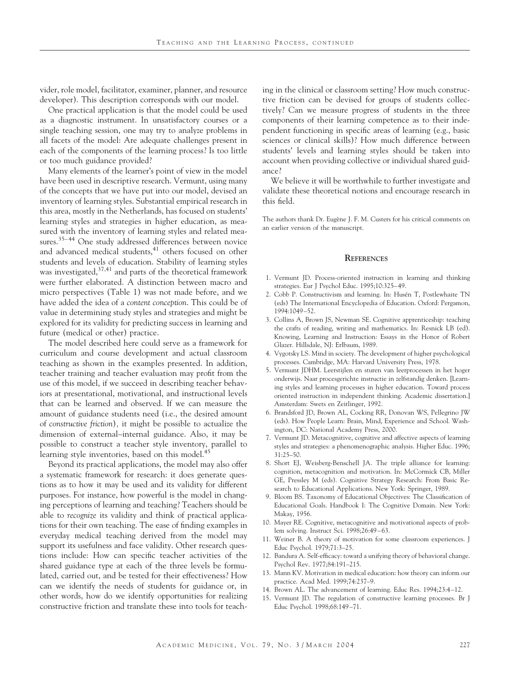vider, role model, facilitator, examiner, planner, and resource developer). This description corresponds with our model.

One practical application is that the model could be used as a diagnostic instrument. In unsatisfactory courses or a single teaching session, one may try to analyze problems in all facets of the model: Are adequate challenges present in each of the components of the learning process? Is too little or too much guidance provided?

Many elements of the learner's point of view in the model have been used in descriptive research. Vermunt, using many of the concepts that we have put into our model, devised an inventory of learning styles. Substantial empirical research in this area, mostly in the Netherlands, has focused on students' learning styles and strategies in higher education, as measured with the inventory of learning styles and related measures.35–44 One study addressed differences between novice and advanced medical students,<sup>41</sup> others focused on other students and levels of education. Stability of learning styles was investigated,<sup>37,41</sup> and parts of the theoretical framework were further elaborated. A distinction between macro and micro perspectives (Table 1) was not made before, and we have added the idea of a *content conception*. This could be of value in determining study styles and strategies and might be explored for its validity for predicting success in learning and future (medical or other) practice.

The model described here could serve as a framework for curriculum and course development and actual classroom teaching as shown in the examples presented. In addition, teacher training and teacher evaluation may profit from the use of this model, if we succeed in describing teacher behaviors at presentational, motivational, and instructional levels that can be learned and observed. If we can measure the amount of guidance students need (i.e., the desired amount of *constructive friction*)*,* it might be possible to actualize the dimension of external–internal guidance. Also, it may be possible to construct a teacher style inventory, parallel to learning style inventories, based on this model.<sup>45</sup>

Beyond its practical applications, the model may also offer a systematic framework for research: it does generate questions as to how it may be used and its validity for different purposes. For instance, how powerful is the model in changing perceptions of learning and teaching? Teachers should be able to *recognize* its validity and think of practical applications for their own teaching. The ease of finding examples in everyday medical teaching derived from the model may support its usefulness and face validity. Other research questions include: How can specific teacher activities of the shared guidance type at each of the three levels be formulated, carried out, and be tested for their effectiveness? How can we identify the needs of students for guidance or, in other words, how do we identify opportunities for realizing constructive friction and translate these into tools for teach-

ing in the clinical or classroom setting? How much constructive friction can be devised for groups of students collectively? Can we measure progress of students in the three components of their learning competence as to their independent functioning in specific areas of learning (e.g., basic sciences or clinical skills)? How much difference between students' levels and learning styles should be taken into account when providing collective or individual shared guidance?

We believe it will be worthwhile to further investigate and validate these theoretical notions and encourage research in this field.

The authors thank Dr. Eugène J. F. M. Custers for his critical comments on an earlier version of the manuscript.

#### **REFERENCES**

- 1. Vermunt JD. Process-oriented instruction in learning and thinking strategies. Eur J Psychol Educ. 1995;10:325–49.
- 2. Cobb P. Constructivism and learning. In: Husén T, Postlewhaite TN (eds) The International Encyclopedia of Education. Oxford: Pergamon, 1994:1049–52.
- 3. Collins A, Brown JS, Newman SE. Cognitive apprenticeship: teaching the crafts of reading, writing and mathematics. In: Resnick LB (ed). Knowing, Learning and Instruction: Essays in the Honor of Robert Glazer. Hillsdale, NJ: Erlbaum, 1989.
- 4. Vygotsky LS. Mind in society. The development of higher psychological processes. Cambridge, MA: Harvard University Press, 1978.
- 5. Vermunt JDHM. Leerstijlen en sturen van leerprocessen in het hoger onderwijs. Naar procesgerichte instructie in zelfstandig denken. [Learning styles and learning processes in higher education. Toward process oriented instruction in independent thinking. Academic dissertation.] Amsterdam: Swets en Zeitlinger, 1992.
- 6. Brandsford JD, Brown AL, Cocking RR, Donovan WS, Pellegrino JW (eds). How People Learn: Brain, Mind, Experience and School. Washington, DC: National Academy Press, 2000.
- 7. Vermunt JD. Metacognitive, cognitive and affective aspects of learning styles and strategies: a phenomenographic analysis. Higher Educ. 1996; 31:25–50.
- 8. Short EJ, Weisberg-Benschell JA. The triple alliance for learning: cognition, metacognition and motivation. In: McCormick CB, Miller GE, Pressley M (eds). Cognitive Strategy Research: From Basic Research to Educational Applications. New York: Springer, 1989.
- 9. Bloom BS. Taxonomy of Educational Objectives: The Classification of Educational Goals. Handbook I: The Cognitive Domain. New York: Makay, 1956.
- 10. Mayer RE. Cognitive, metacognitive and motivational aspects of problem solving. Instruct Sci. 1998;26:49–63.
- 11. Weiner B. A theory of motivation for some classroom experiences. J Educ Psychol. 1979;71:3–25.
- 12. Bandura A. Self-efficacy: toward a unifying theory of behavioral change. Psychol Rev. 1977;84:191–215.
- 13. Mann KV. Motivation in medical education: how theory can inform our practice. Acad Med. 1999;74:237–9.
- 14. Brown AL. The advancement of learning. Educ Res. 1994;23:4–12.
- 15. Vermunt JD. The regulation of constructive learning processes. Br J Educ Psychol. 1998;68:149–71.